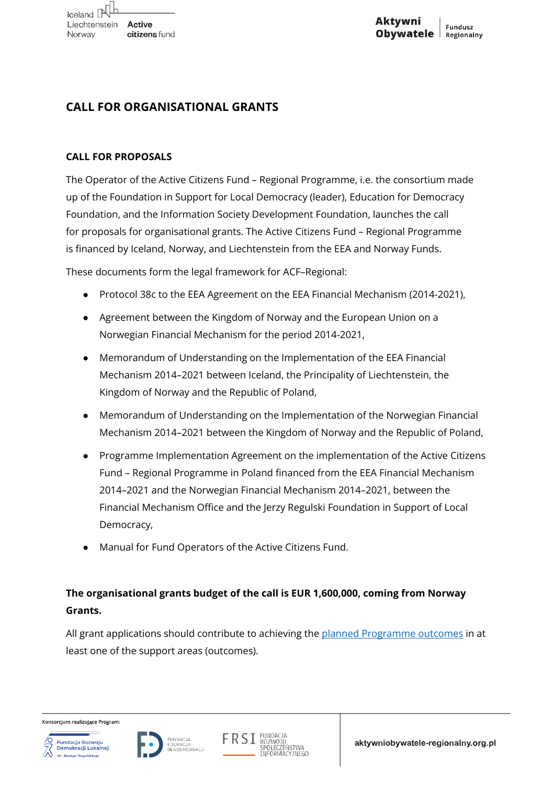# **CALL FOR ORGANISATIONAL GRANTS**

## **CALL FOR PROPOSALS**

The Operator of the Active Citizens Fund – Regional Programme, i.e. the consortium made up of the Foundation in Support for Local Democracy (leader), Education for Democracy Foundation, and the Information Society Development Foundation, launches the call for proposals for organisational grants. The Active Citizens Fund – Regional Programme is financed by Iceland, Norway, and Liechtenstein from the EEA and Norway Funds.

These documents form the legal framework for ACF–Regional:

- Protocol 38c to the EEA Agreement on the EEA Financial Mechanism (2014-2021),
- Agreement between the Kingdom of Norway and the European Union on a Norwegian Financial Mechanism for the period 2014-2021,
- Memorandum of Understanding on the Implementation of the EEA Financial Mechanism 2014–2021 between Iceland, the Principality of Liechtenstein, the Kingdom of Norway and the Republic of Poland,
- Memorandum of Understanding on the Implementation of the Norwegian Financial Mechanism 2014–2021 between the Kingdom of Norway and the Republic of Poland,
- Programme Implementation Agreement on the implementation of the Active Citizens Fund – Regional Programme in Poland financed from the EEA Financial Mechanism 2014–2021 and the Norwegian Financial Mechanism 2014–2021, between the Financial Mechanism Office and the Jerzy Regulski Foundation in Support of Local Democracy,
- Manual for Fund Operators of the Active Citizens Fund.

# **The organisational grants budget of the call is EUR 1,600,000, coming from Norway Grants.**

All grant applications should contribute to achieving the [planned Programme outcomes](https://aktywniobywatele-regionalny.org.pl/rezultaty/) in at least one of the support areas (outcomes).



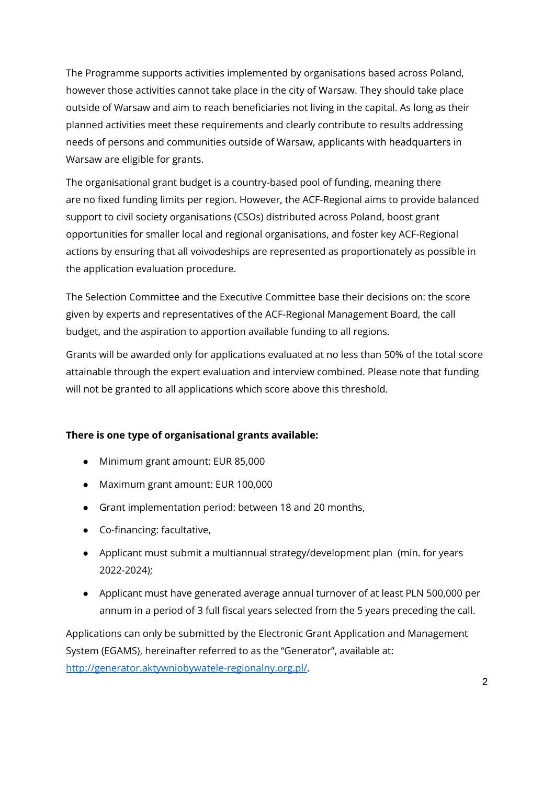The Programme supports activities implemented by organisations based across Poland, however those activities cannot take place in the city of Warsaw. They should take place outside of Warsaw and aim to reach beneficiaries not living in the capital. As long as their planned activities meet these requirements and clearly contribute to results addressing needs of persons and communities outside of Warsaw, applicants with headquarters in Warsaw are eligible for grants.

The organisational grant budget is a country-based pool of funding, meaning there are no fixed funding limits per region. However, the ACF-Regional aims to provide balanced support to civil society organisations (CSOs) distributed across Poland, boost grant opportunities for smaller local and regional organisations, and foster key ACF-Regional actions by ensuring that all voivodeships are represented as proportionately as possible in the application evaluation procedure.

The Selection Committee and the Executive Committee base their decisions on: the score given by experts and representatives of the ACF-Regional Management Board, the call budget, and the aspiration to apportion available funding to all regions.

Grants will be awarded only for applications evaluated at no less than 50% of the total score attainable through the expert evaluation and interview combined. Please note that funding will not be granted to all applications which score above this threshold.

## **There is one type of organisational grants available:**

- Minimum grant amount: EUR 85,000
- Maximum grant amount: EUR 100,000
- Grant implementation period: between 18 and 20 months,
- Co-financing: facultative,
- Applicant must submit a multiannual strategy/development plan (min. for years 2022-2024);
- Applicant must have generated average annual turnover of at least PLN 500,000 per annum in a period of 3 full fiscal years selected from the 5 years preceding the call.

Applications can only be submitted by the Electronic Grant Application and Management System (EGAMS), hereinafter referred to as the "Generator", available at: [http://generator.aktywniobywatele-regionalny.org.pl/.](http://generator.aktywniobywatele-regionalny.org.pl/)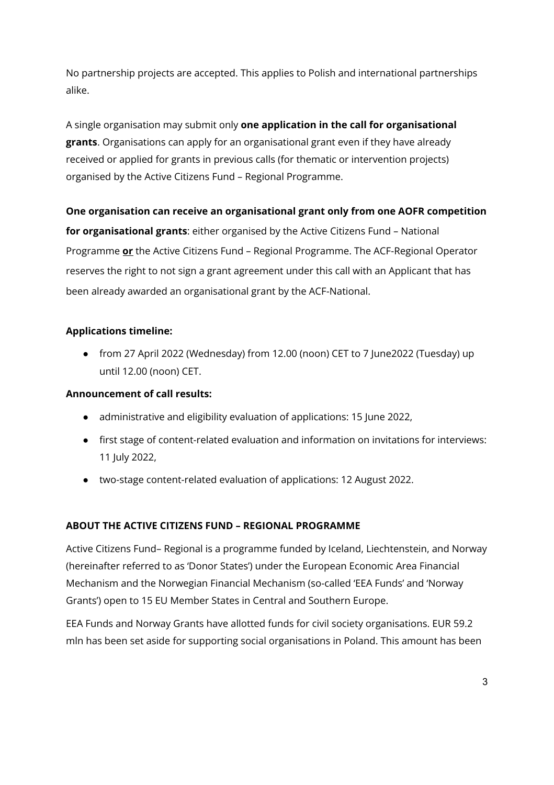No partnership projects are accepted. This applies to Polish and international partnerships alike.

A single organisation may submit only **one application in the call for organisational grants**. Organisations can apply for an organisational grant even if they have already received or applied for grants in previous calls (for thematic or intervention projects) organised by the Active Citizens Fund – Regional Programme.

# **One organisation can receive an organisational grant only from one AOFR competition**

**for organisational grants**: either organised by the Active Citizens Fund – National Programme **or** the Active Citizens Fund – Regional Programme. The ACF-Regional Operator reserves the right to not sign a grant agreement under this call with an Applicant that has been already awarded an organisational grant by the ACF-National.

# **Applications timeline:**

● from 27 April 2022 (Wednesday) from 12.00 (noon) CET to 7 June2022 (Tuesday) up until 12.00 (noon) CET.

## **Announcement of call results:**

- administrative and eligibility evaluation of applications: 15 June 2022,
- first stage of content-related evaluation and information on invitations for interviews: 11 July 2022,
- two-stage content-related evaluation of applications: 12 August 2022.

## **ABOUT THE ACTIVE CITIZENS FUND – REGIONAL PROGRAMME**

Active Citizens Fund– Regional is a programme funded by Iceland, Liechtenstein, and Norway (hereinafter referred to as 'Donor States') under the European Economic Area Financial Mechanism and the Norwegian Financial Mechanism (so-called 'EEA Funds' and 'Norway Grants') open to 15 EU Member States in Central and Southern Europe.

EEA Funds and Norway Grants have allotted funds for civil society organisations. EUR 59.2 mln has been set aside for supporting social organisations in Poland. This amount has been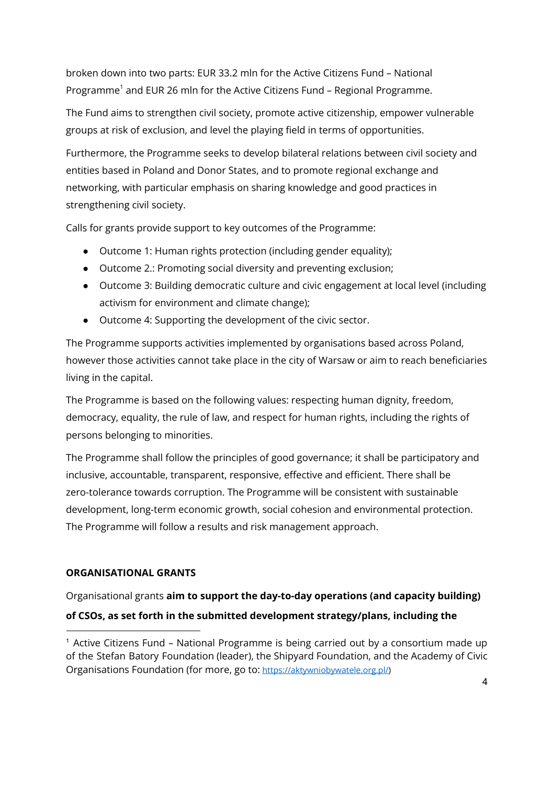broken down into two parts: EUR 33.2 mln for the Active Citizens Fund – National Programme<sup>1</sup> and EUR 26 mln for the Active Citizens Fund – Regional Programme.

The Fund aims to strengthen civil society, promote active citizenship, empower vulnerable groups at risk of exclusion, and level the playing field in terms of opportunities.

Furthermore, the Programme seeks to develop bilateral relations between civil society and entities based in Poland and Donor States, and to promote regional exchange and networking, with particular emphasis on sharing knowledge and good practices in strengthening civil society.

Calls for grants provide support to key outcomes of the Programme:

- Outcome 1: Human rights protection (including gender equality);
- Outcome 2.: Promoting social diversity and preventing exclusion;
- Outcome 3: Building democratic culture and civic engagement at local level (including activism for environment and climate change);
- Outcome 4: Supporting the development of the civic sector.

The Programme supports activities implemented by organisations based across Poland, however those activities cannot take place in the city of Warsaw or aim to reach beneficiaries living in the capital.

The Programme is based on the following values: respecting human dignity, freedom, democracy, equality, the rule of law, and respect for human rights, including the rights of persons belonging to minorities.

The Programme shall follow the principles of good governance; it shall be participatory and inclusive, accountable, transparent, responsive, effective and efficient. There shall be zero-tolerance towards corruption. The Programme will be consistent with sustainable development, long-term economic growth, social cohesion and environmental protection. The Programme will follow a results and risk management approach.

# **ORGANISATIONAL GRANTS**

Organisational grants **aim to support the day-to-day operations (and capacity building) of CSOs, as set forth in the submitted development strategy/plans, including the**

<sup>&</sup>lt;sup>1</sup> Active Citizens Fund - National Programme is being carried out by a consortium made up of the Stefan Batory Foundation (leader), the Shipyard Foundation, and the Academy of Civic Organisations Foundation (for more, go to: <https://aktywniobywatele.org.pl/>)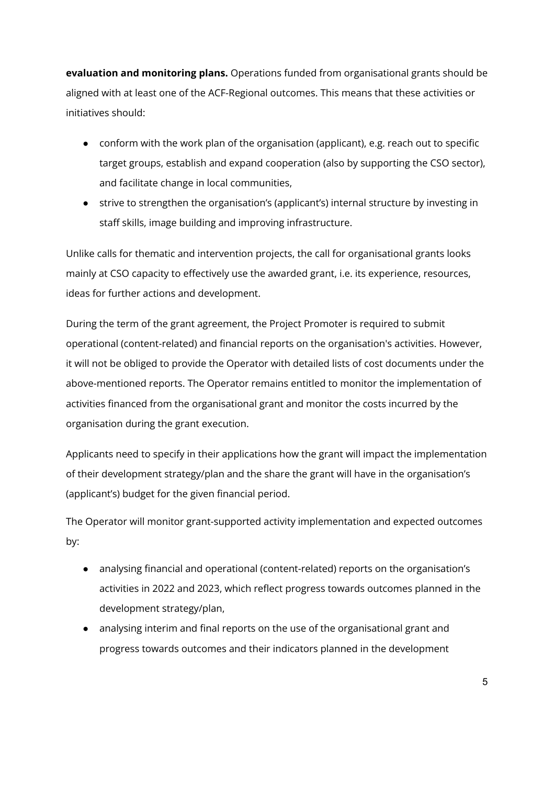**evaluation and monitoring plans.** Operations funded from organisational grants should be aligned with at least one of the ACF-Regional outcomes. This means that these activities or initiatives should:

- conform with the work plan of the organisation (applicant), e.g. reach out to specific target groups, establish and expand cooperation (also by supporting the CSO sector), and facilitate change in local communities,
- strive to strengthen the organisation's (applicant's) internal structure by investing in staff skills, image building and improving infrastructure.

Unlike calls for thematic and intervention projects, the call for organisational grants looks mainly at CSO capacity to effectively use the awarded grant, i.e. its experience, resources, ideas for further actions and development.

During the term of the grant agreement, the Project Promoter is required to submit operational (content-related) and financial reports on the organisation's activities. However, it will not be obliged to provide the Operator with detailed lists of cost documents under the above-mentioned reports. The Operator remains entitled to monitor the implementation of activities financed from the organisational grant and monitor the costs incurred by the organisation during the grant execution.

Applicants need to specify in their applications how the grant will impact the implementation of their development strategy/plan and the share the grant will have in the organisation's (applicant's) budget for the given financial period.

The Operator will monitor grant-supported activity implementation and expected outcomes by:

- analysing financial and operational (content-related) reports on the organisation's activities in 2022 and 2023, which reflect progress towards outcomes planned in the development strategy/plan,
- analysing interim and final reports on the use of the organisational grant and progress towards outcomes and their indicators planned in the development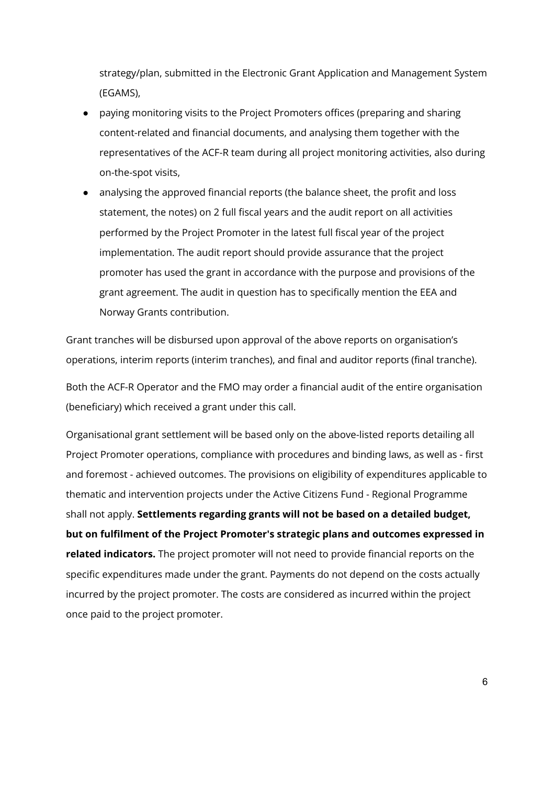strategy/plan, submitted in the Electronic Grant Application and Management System (EGAMS),

- paying monitoring visits to the Project Promoters offices (preparing and sharing content-related and financial documents, and analysing them together with the representatives of the ACF-R team during all project monitoring activities, also during on-the-spot visits,
- analysing the approved financial reports (the balance sheet, the profit and loss statement, the notes) on 2 full fiscal years and the audit report on all activities performed by the Project Promoter in the latest full fiscal year of the project implementation. The audit report should provide assurance that the project promoter has used the grant in accordance with the purpose and provisions of the grant agreement. The audit in question has to specifically mention the EEA and Norway Grants contribution.

Grant tranches will be disbursed upon approval of the above reports on organisation's operations, interim reports (interim tranches), and final and auditor reports (final tranche).

Both the ACF-R Operator and the FMO may order a financial audit of the entire organisation (beneficiary) which received a grant under this call.

Organisational grant settlement will be based only on the above-listed reports detailing all Project Promoter operations, compliance with procedures and binding laws, as well as - first and foremost - achieved outcomes. The provisions on eligibility of expenditures applicable to thematic and intervention projects under the Active Citizens Fund - Regional Programme shall not apply. **Settlements regarding grants will not be based on a detailed budget, but on fulfilment of the Project Promoter's strategic plans and outcomes expressed in related indicators.** The project promoter will not need to provide financial reports on the specific expenditures made under the grant. Payments do not depend on the costs actually incurred by the project promoter. The costs are considered as incurred within the project once paid to the project promoter.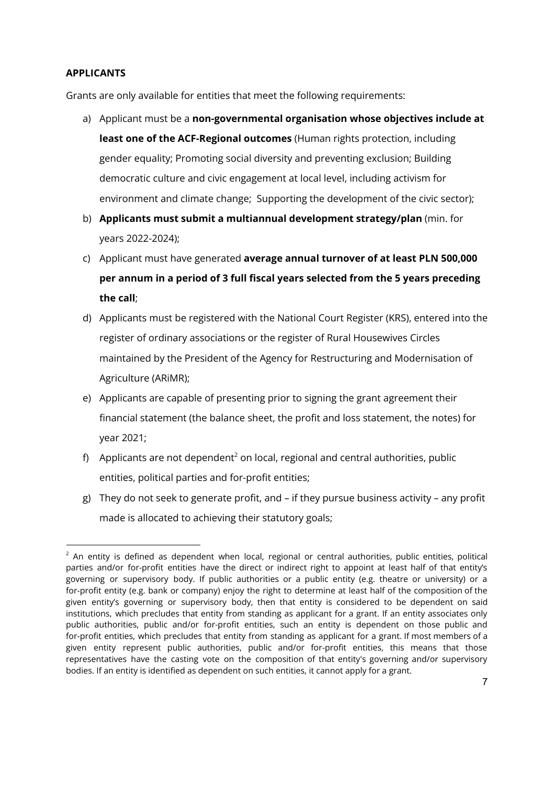### **APPLICANTS**

Grants are only available for entities that meet the following requirements:

- a) Applicant must be a **non-governmental organisation whose objectives include at least one of the ACF-Regional outcomes** (Human rights protection, including gender equality; Promoting social diversity and preventing exclusion; Building democratic culture and civic engagement at local level, including activism for environment and climate change; Supporting the development of the civic sector);
- b) **Applicants must submit a multiannual development strategy/plan** (min. for years 2022-2024);
- c) Applicant must have generated **average annual turnover of at least PLN 500,000 per annum in a period of 3 full fiscal years selected from the 5 years preceding the call**;
- d) Applicants must be registered with the National Court Register (KRS), entered into the register of ordinary associations or the register of Rural Housewives Circles maintained by the President of the Agency for Restructuring and Modernisation of Agriculture (ARiMR);
- e) Applicants are capable of presenting prior to signing the grant agreement their financial statement (the balance sheet, the profit and loss statement, the notes) for year 2021;
- f) Applicants are not dependent<sup>2</sup> on local, regional and central authorities, public entities, political parties and for-profit entities;
- g) They do not seek to generate profit, and if they pursue business activity any profit made is allocated to achieving their statutory goals;

 $2$  An entity is defined as dependent when local, regional or central authorities, public entities, political parties and/or for-profit entities have the direct or indirect right to appoint at least half of that entity's governing or supervisory body. If public authorities or a public entity (e.g. theatre or university) or a for-profit entity (e.g. bank or company) enjoy the right to determine at least half of the composition of the given entity's governing or supervisory body, then that entity is considered to be dependent on said institutions, which precludes that entity from standing as applicant for a grant. If an entity associates only public authorities, public and/or for-profit entities, such an entity is dependent on those public and for-profit entities, which precludes that entity from standing as applicant for a grant. If most members of a given entity represent public authorities, public and/or for-profit entities, this means that those representatives have the casting vote on the composition of that entity's governing and/or supervisory bodies. If an entity is identified as dependent on such entities, it cannot apply for a grant.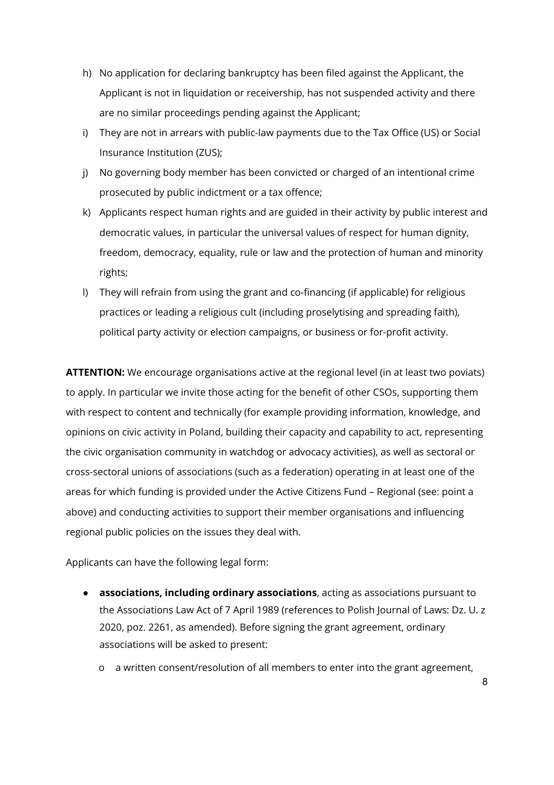- h) No application for declaring bankruptcy has been filed against the Applicant, the Applicant is not in liquidation or receivership, has not suspended activity and there are no similar proceedings pending against the Applicant;
- i) They are not in arrears with public-law payments due to the Tax Office (US) or Social Insurance Institution (ZUS);
- j) No governing body member has been convicted or charged of an intentional crime prosecuted by public indictment or a tax offence;
- k) Applicants respect human rights and are guided in their activity by public interest and democratic values, in particular the universal values of respect for human dignity, freedom, democracy, equality, rule or law and the protection of human and minority rights;
- l) They will refrain from using the grant and co-financing (if applicable) for religious practices or leading a religious cult (including proselytising and spreading faith), political party activity or election campaigns, or business or for-profit activity.

**ATTENTION:** We encourage organisations active at the regional level (in at least two poviats) to apply. In particular we invite those acting for the benefit of other CSOs, supporting them with respect to content and technically (for example providing information, knowledge, and opinions on civic activity in Poland, building their capacity and capability to act, representing the civic organisation community in watchdog or advocacy activities), as well as sectoral or cross-sectoral unions of associations (such as a federation) operating in at least one of the areas for which funding is provided under the Active Citizens Fund – Regional (see: point a above) and conducting activities to support their member organisations and influencing regional public policies on the issues they deal with.

Applicants can have the following legal form:

- **associations, including ordinary associations**, acting as associations pursuant to the Associations Law Act of 7 April 1989 (references to Polish Journal of Laws: Dz. U. z 2020, poz. 2261, as amended). Before signing the grant agreement, ordinary associations will be asked to present:
	- o a written consent/resolution of all members to enter into the grant agreement,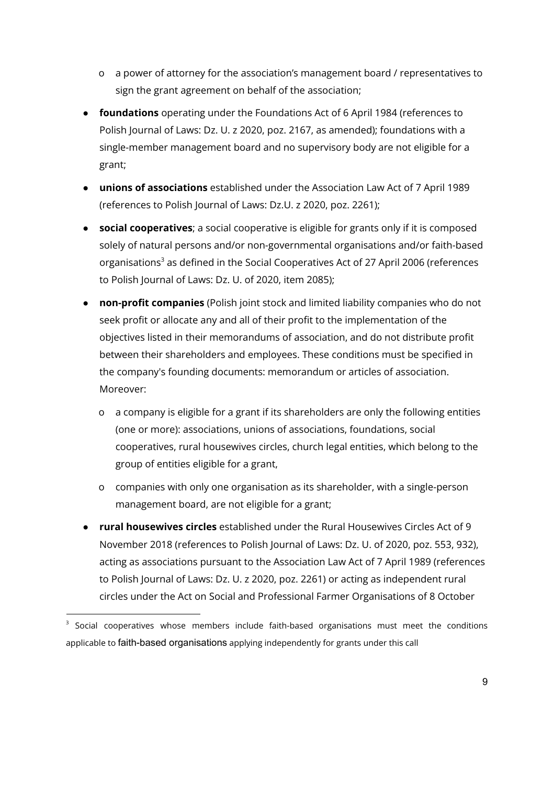- o a power of attorney for the association's management board / representatives to sign the grant agreement on behalf of the association;
- **foundations** operating under the Foundations Act of 6 April 1984 (references to Polish Journal of Laws: Dz. U. z 2020, poz. 2167, as amended); foundations with a single-member management board and no supervisory body are not eligible for a grant;
- **unions of associations** established under the Association Law Act of 7 April 1989 (references to Polish Journal of Laws: Dz.U. z 2020, poz. 2261);
- **social cooperatives**; a social cooperative is eligible for grants only if it is composed solely of natural persons and/or non-governmental organisations and/or faith-based organisations<sup>3</sup> as defined in the Social Cooperatives Act of 27 April 2006 (references to Polish Journal of Laws: Dz. U. of 2020, item 2085);
- **non-profit companies** (Polish joint stock and limited liability companies who do not seek profit or allocate any and all of their profit to the implementation of the objectives listed in their memorandums of association, and do not distribute profit between their shareholders and employees. These conditions must be specified in the company's founding documents: memorandum or articles of association. Moreover:
	- o a company is eligible for a grant if its shareholders are only the following entities (one or more): associations, unions of associations, foundations, social cooperatives, rural housewives circles, church legal entities, which belong to the group of entities eligible for a grant,
	- o companies with only one organisation as its shareholder, with a single-person management board, are not eligible for a grant;
- **rural housewives circles** established under the Rural Housewives Circles Act of 9 November 2018 (references to Polish Journal of Laws: Dz. U. of 2020, poz. 553, 932), acting as associations pursuant to the Association Law Act of 7 April 1989 (references to Polish Journal of Laws: Dz. U. z 2020, poz. 2261) or acting as independent rural circles under the Act on Social and Professional Farmer Organisations of 8 October

 $3$  Social cooperatives whose members include faith-based organisations must meet the conditions applicable to faith-based organisations applying independently for grants under this call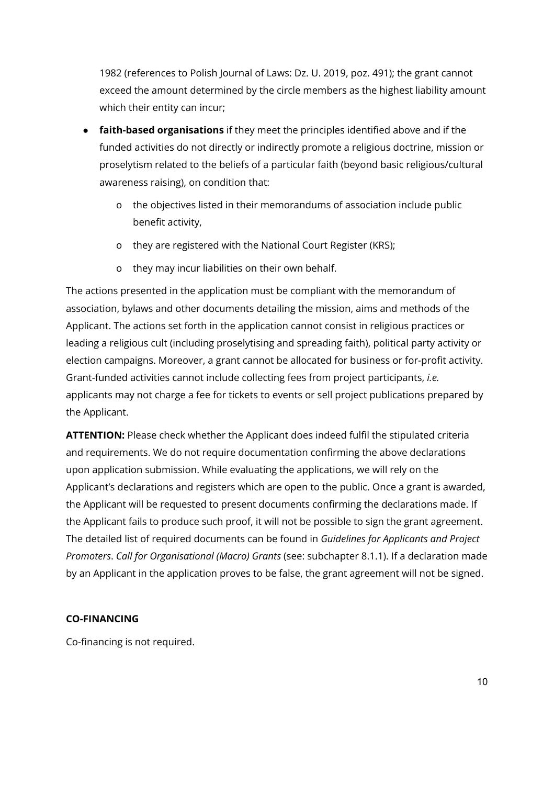1982 (references to Polish Journal of Laws: Dz. U. 2019, poz. 491); the grant cannot exceed the amount determined by the circle members as the highest liability amount which their entity can incur;

- **faith-based organisations** if they meet the principles identified above and if the funded activities do not directly or indirectly promote a religious doctrine, mission or proselytism related to the beliefs of a particular faith (beyond basic religious/cultural awareness raising), on condition that:
	- o the objectives listed in their memorandums of association include public benefit activity,
	- o they are registered with the National Court Register (KRS);
	- o they may incur liabilities on their own behalf.

The actions presented in the application must be compliant with the memorandum of association, bylaws and other documents detailing the mission, aims and methods of the Applicant. The actions set forth in the application cannot consist in religious practices or leading a religious cult (including proselytising and spreading faith), political party activity or election campaigns. Moreover, a grant cannot be allocated for business or for-profit activity. Grant-funded activities cannot include collecting fees from project participants, *i.e.* applicants may not charge a fee for tickets to events or sell project publications prepared by the Applicant.

**ATTENTION:** Please check whether the Applicant does indeed fulfil the stipulated criteria and requirements. We do not require documentation confirming the above declarations upon application submission. While evaluating the applications, we will rely on the Applicant's declarations and registers which are open to the public. Once a grant is awarded, the Applicant will be requested to present documents confirming the declarations made. If the Applicant fails to produce such proof, it will not be possible to sign the grant agreement. The detailed list of required documents can be found in *Guidelines for Applicants and Project Promoters*. *Call for Organisational (Macro) Grants* (see: subchapter 8.1.1). If a declaration made by an Applicant in the application proves to be false, the grant agreement will not be signed.

## **CO-FINANCING**

Co-financing is not required.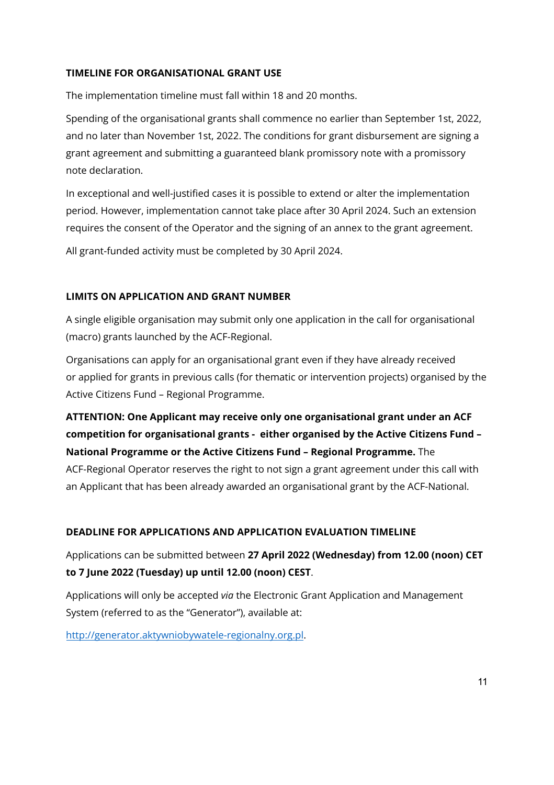### **TIMELINE FOR ORGANISATIONAL GRANT USE**

The implementation timeline must fall within 18 and 20 months.

Spending of the organisational grants shall commence no earlier than September 1st, 2022, and no later than November 1st, 2022. The conditions for grant disbursement are signing a grant agreement and submitting a guaranteed blank promissory note with a promissory note declaration.

In exceptional and well-justified cases it is possible to extend or alter the implementation period. However, implementation cannot take place after 30 April 2024. Such an extension requires the consent of the Operator and the signing of an annex to the grant agreement.

All grant-funded activity must be completed by 30 April 2024.

## **LIMITS ON APPLICATION AND GRANT NUMBER**

A single eligible organisation may submit only one application in the call for organisational (macro) grants launched by the ACF-Regional.

Organisations can apply for an organisational grant even if they have already received or applied for grants in previous calls (for thematic or intervention projects) organised by the Active Citizens Fund – Regional Programme.

# **ATTENTION: One Applicant may receive only one organisational grant under an ACF competition for organisational grants - either organised by the Active Citizens Fund – National Programme or the Active Citizens Fund – Regional Programme.** The

ACF-Regional Operator reserves the right to not sign a grant agreement under this call with an Applicant that has been already awarded an organisational grant by the ACF-National.

## **DEADLINE FOR APPLICATIONS AND APPLICATION EVALUATION TIMELINE**

Applications can be submitted between **27 April 2022 (Wednesday) from 12.00 (noon) CET to 7 June 2022 (Tuesday) up until 12.00 (noon) CEST**.

Applications will only be accepted *via* the Electronic Grant Application and Management System (referred to as the "Generator"), available at:

[http://generator.aktywniobywatele-regionalny.org.pl](http://generator.aktywniobywatele-regionalny.org.pl/).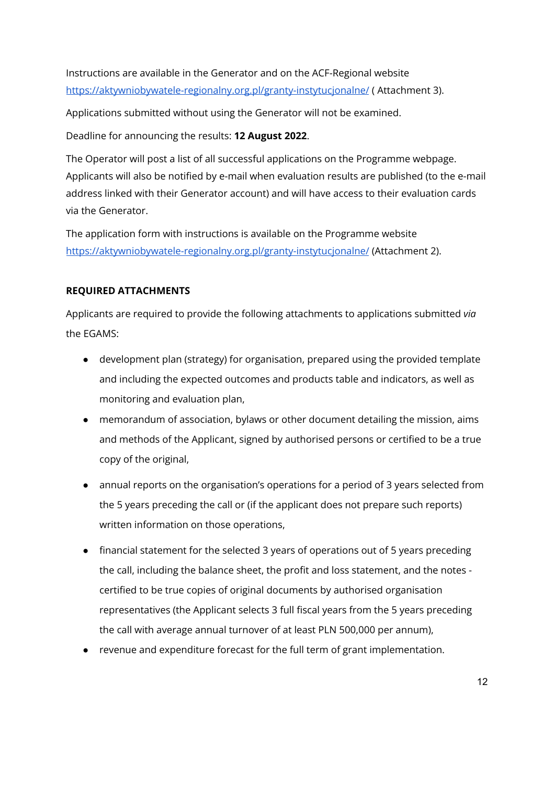Instructions are available in the Generator and on the ACF-Regional website <https://aktywniobywatele-regionalny.org.pl/granty-instytucjonalne/> ( Attachment 3).

Applications submitted without using the Generator will not be examined.

Deadline for announcing the results: **12 August 2022**.

The Operator will post a list of all successful applications on the Programme webpage. Applicants will also be notified by e-mail when evaluation results are published (to the e-mail address linked with their Generator account) and will have access to their evaluation cards via the Generator.

The application form with instructions is available on the Programme website <https://aktywniobywatele-regionalny.org.pl/granty-instytucjonalne/> (Attachment 2).

# **REQUIRED ATTACHMENTS**

Applicants are required to provide the following attachments to applications submitted *via* the EGAMS:

- development plan (strategy) for organisation, prepared using the provided template and including the expected outcomes and products table and indicators, as well as monitoring and evaluation plan,
- memorandum of association, bylaws or other document detailing the mission, aims and methods of the Applicant, signed by authorised persons or certified to be a true copy of the original,
- annual reports on the organisation's operations for a period of 3 years selected from the 5 years preceding the call or (if the applicant does not prepare such reports) written information on those operations,
- financial statement for the selected 3 years of operations out of 5 years preceding the call, including the balance sheet, the profit and loss statement, and the notes certified to be true copies of original documents by authorised organisation representatives (the Applicant selects 3 full fiscal years from the 5 years preceding the call with average annual turnover of at least PLN 500,000 per annum),
- revenue and expenditure forecast for the full term of grant implementation.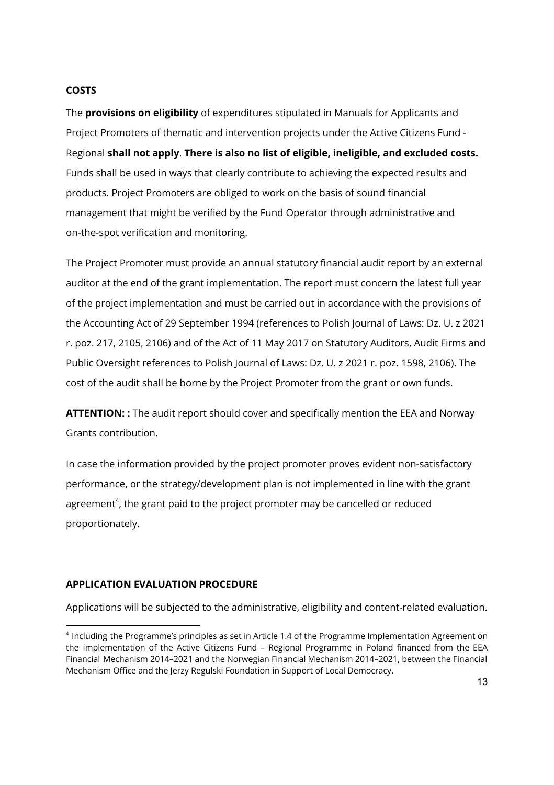#### **COSTS**

The **provisions on eligibility** of expenditures stipulated in Manuals for Applicants and Project Promoters of thematic and intervention projects under the Active Citizens Fund - Regional **shall not apply**. **There is also no list of eligible, ineligible, and excluded costs.** Funds shall be used in ways that clearly contribute to achieving the expected results and products. Project Promoters are obliged to work on the basis of sound financial management that might be verified by the Fund Operator through administrative and on-the-spot verification and monitoring.

The Project Promoter must provide an annual statutory financial audit report by an external auditor at the end of the grant implementation. The report must concern the latest full year of the project implementation and must be carried out in accordance with the provisions of the Accounting Act of 29 September 1994 (references to Polish Journal of Laws: Dz. U. z 2021 r. poz. 217, 2105, 2106) and of the Act of 11 May 2017 on Statutory Auditors, Audit Firms and Public Oversight references to Polish Journal of Laws: Dz. U. z 2021 r. poz. 1598, 2106). The cost of the audit shall be borne by the Project Promoter from the grant or own funds.

**ATTENTION: :** The audit report should cover and specifically mention the EEA and Norway Grants contribution.

In case the information provided by the project promoter proves evident non-satisfactory performance, or the strategy/development plan is not implemented in line with the grant agreement<sup>4</sup>, the grant paid to the project promoter may be cancelled or reduced proportionately.

#### **APPLICATION EVALUATION PROCEDURE**

Applications will be subjected to the administrative, eligibility and content-related evaluation.

<sup>4</sup> Including the Programme's principles as set in Article 1.4 of the Programme Implementation Agreement on the implementation of the Active Citizens Fund – Regional Programme in Poland financed from the EEA Financial Mechanism 2014–2021 and the Norwegian Financial Mechanism 2014–2021, between the Financial Mechanism Office and the Jerzy Regulski Foundation in Support of Local Democracy.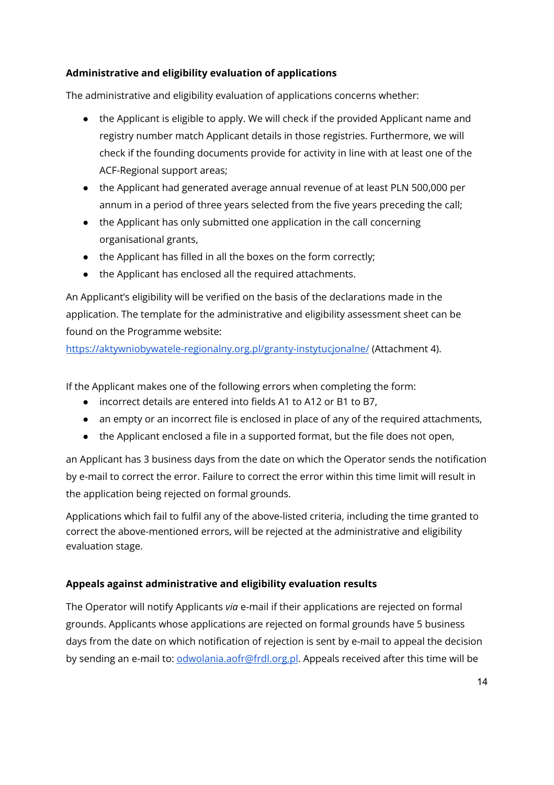# **Administrative and eligibility evaluation of applications**

The administrative and eligibility evaluation of applications concerns whether:

- the Applicant is eligible to apply. We will check if the provided Applicant name and registry number match Applicant details in those registries. Furthermore, we will check if the founding documents provide for activity in line with at least one of the ACF-Regional support areas;
- the Applicant had generated average annual revenue of at least PLN 500,000 per annum in a period of three years selected from the five years preceding the call;
- the Applicant has only submitted one application in the call concerning organisational grants,
- the Applicant has filled in all the boxes on the form correctly;
- the Applicant has enclosed all the required attachments.

An Applicant's eligibility will be verified on the basis of the declarations made in the application. The template for the administrative and eligibility assessment sheet can be found on the Programme website:

<https://aktywniobywatele-regionalny.org.pl/granty-instytucjonalne/> (Attachment 4).

If the Applicant makes one of the following errors when completing the form:

- incorrect details are entered into fields A1 to A12 or B1 to B7,
- an empty or an incorrect file is enclosed in place of any of the required attachments,
- the Applicant enclosed a file in a supported format, but the file does not open,

an Applicant has 3 business days from the date on which the Operator sends the notification by e-mail to correct the error. Failure to correct the error within this time limit will result in the application being rejected on formal grounds.

Applications which fail to fulfil any of the above-listed criteria, including the time granted to correct the above-mentioned errors, will be rejected at the administrative and eligibility evaluation stage.

# **Appeals against administrative and eligibility evaluation results**

The Operator will notify Applicants *via* e-mail if their applications are rejected on formal grounds. Applicants whose applications are rejected on formal grounds have 5 business days from the date on which notification of rejection is sent by e-mail to appeal the decision by sending an e-mail to: [odwolania.aofr@frdl.org.pl](mailto:odwolania.aofr@frdl.org.pl). Appeals received after this time will be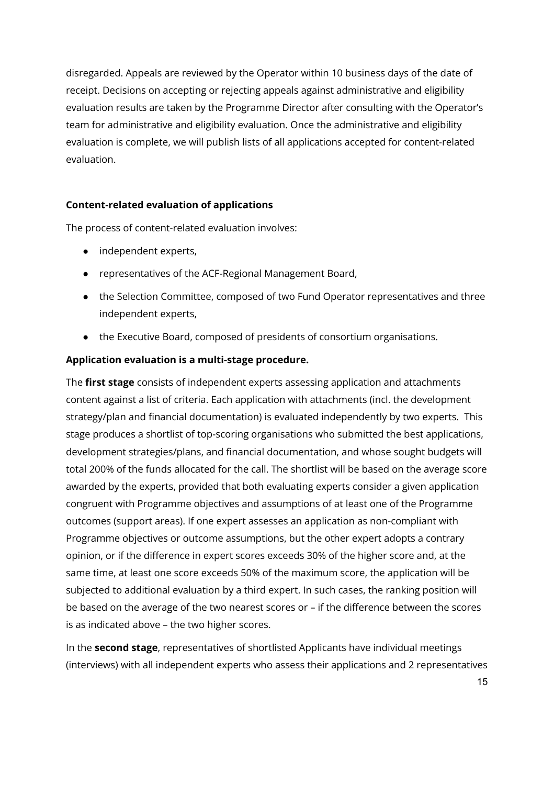disregarded. Appeals are reviewed by the Operator within 10 business days of the date of receipt. Decisions on accepting or rejecting appeals against administrative and eligibility evaluation results are taken by the Programme Director after consulting with the Operator's team for administrative and eligibility evaluation. Once the administrative and eligibility evaluation is complete, we will publish lists of all applications accepted for content-related evaluation.

### **Content-related evaluation of applications**

The process of content-related evaluation involves:

- independent experts,
- representatives of the ACF-Regional Management Board,
- the Selection Committee, composed of two Fund Operator representatives and three independent experts,
- the Executive Board, composed of presidents of consortium organisations.

#### **Application evaluation is a multi-stage procedure.**

The **first stage** consists of independent experts assessing application and attachments content against a list of criteria. Each application with attachments (incl. the development strategy/plan and financial documentation) is evaluated independently by two experts. This stage produces a shortlist of top-scoring organisations who submitted the best applications, development strategies/plans, and financial documentation, and whose sought budgets will total 200% of the funds allocated for the call. The shortlist will be based on the average score awarded by the experts, provided that both evaluating experts consider a given application congruent with Programme objectives and assumptions of at least one of the Programme outcomes (support areas). If one expert assesses an application as non-compliant with Programme objectives or outcome assumptions, but the other expert adopts a contrary opinion, or if the difference in expert scores exceeds 30% of the higher score and, at the same time, at least one score exceeds 50% of the maximum score, the application will be subjected to additional evaluation by a third expert. In such cases, the ranking position will be based on the average of the two nearest scores or – if the difference between the scores is as indicated above – the two higher scores.

In the **second stage**, representatives of shortlisted Applicants have individual meetings (interviews) with all independent experts who assess their applications and 2 representatives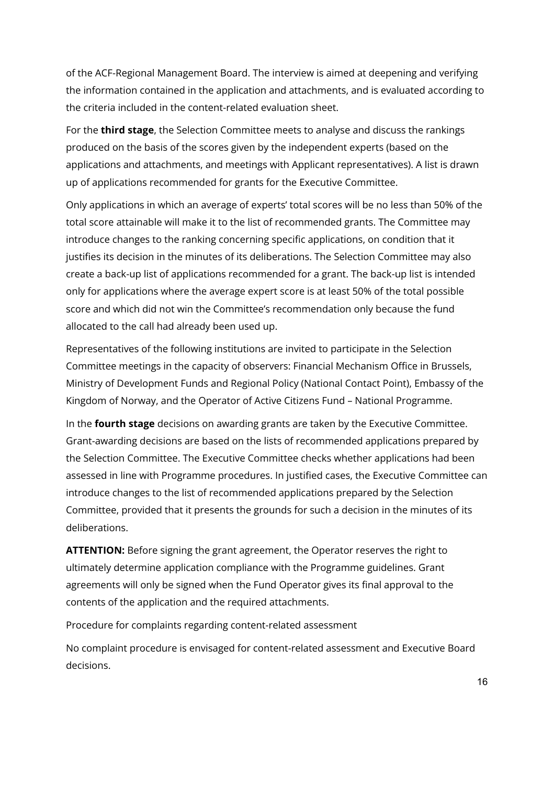of the ACF-Regional Management Board. The interview is aimed at deepening and verifying the information contained in the application and attachments, and is evaluated according to the criteria included in the content-related evaluation sheet.

For the **third stage**, the Selection Committee meets to analyse and discuss the rankings produced on the basis of the scores given by the independent experts (based on the applications and attachments, and meetings with Applicant representatives). A list is drawn up of applications recommended for grants for the Executive Committee.

Only applications in which an average of experts' total scores will be no less than 50% of the total score attainable will make it to the list of recommended grants. The Committee may introduce changes to the ranking concerning specific applications, on condition that it justifies its decision in the minutes of its deliberations. The Selection Committee may also create a back-up list of applications recommended for a grant. The back-up list is intended only for applications where the average expert score is at least 50% of the total possible score and which did not win the Committee's recommendation only because the fund allocated to the call had already been used up.

Representatives of the following institutions are invited to participate in the Selection Committee meetings in the capacity of observers: Financial Mechanism Office in Brussels, Ministry of Development Funds and Regional Policy (National Contact Point), Embassy of the Kingdom of Norway, and the Operator of Active Citizens Fund – National Programme.

In the **fourth stage** decisions on awarding grants are taken by the Executive Committee. Grant-awarding decisions are based on the lists of recommended applications prepared by the Selection Committee. The Executive Committee checks whether applications had been assessed in line with Programme procedures. In justified cases, the Executive Committee can introduce changes to the list of recommended applications prepared by the Selection Committee, provided that it presents the grounds for such a decision in the minutes of its deliberations.

**ATTENTION:** Before signing the grant agreement, the Operator reserves the right to ultimately determine application compliance with the Programme guidelines. Grant agreements will only be signed when the Fund Operator gives its final approval to the contents of the application and the required attachments.

Procedure for complaints regarding content-related assessment

No complaint procedure is envisaged for content-related assessment and Executive Board decisions.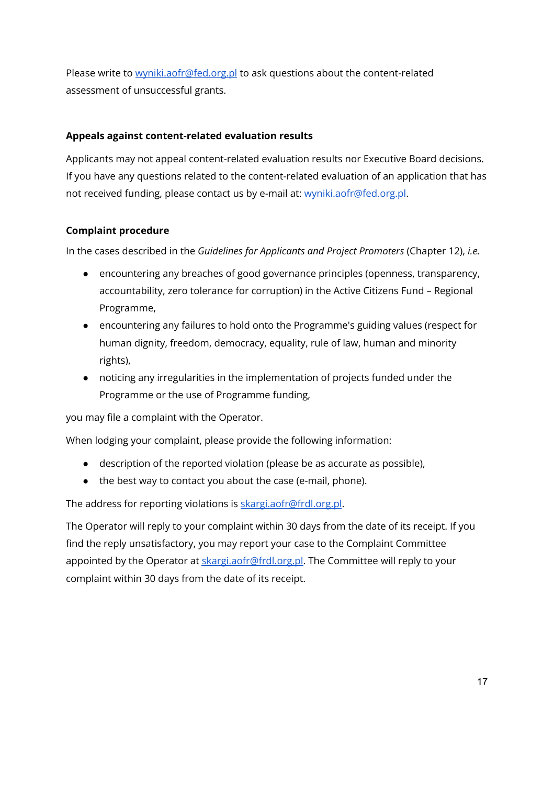Please write to [wyniki.aofr@fed.org.pl](mailto:wyniki.aofr@fed.org.pl) to ask questions about the content-related assessment of unsuccessful grants.

# **Appeals against content-related evaluation results**

Applicants may not appeal content-related evaluation results nor Executive Board decisions. If you have any questions related to the content-related evaluation of an application that has not received funding, please contact us by e-mail at: wyniki.aofr@fed.org.pl.

# **Complaint procedure**

In the cases described in the *Guidelines for Applicants and Project Promoters* (Chapter 12), *i.e.*

- encountering any breaches of good governance principles (openness, transparency, accountability, zero tolerance for corruption) in the Active Citizens Fund – Regional Programme,
- encountering any failures to hold onto the Programme's guiding values (respect for human dignity, freedom, democracy, equality, rule of law, human and minority rights),
- noticing any irregularities in the implementation of projects funded under the Programme or the use of Programme funding,

you may file a complaint with the Operator.

When lodging your complaint, please provide the following information:

- description of the reported violation (please be as accurate as possible),
- the best way to contact you about the case (e-mail, phone).

The address for reporting violations is [skargi.aofr@frdl.org.pl](mailto:skargi.aofr@frdl.org.pl).

The Operator will reply to your complaint within 30 days from the date of its receipt. If you find the reply unsatisfactory, you may report your case to the Complaint Committee appointed by the Operator at [skargi.aofr@frdl.org.pl.](mailto:skargi.aofr@frdl.org.pl) The Committee will reply to your complaint within 30 days from the date of its receipt.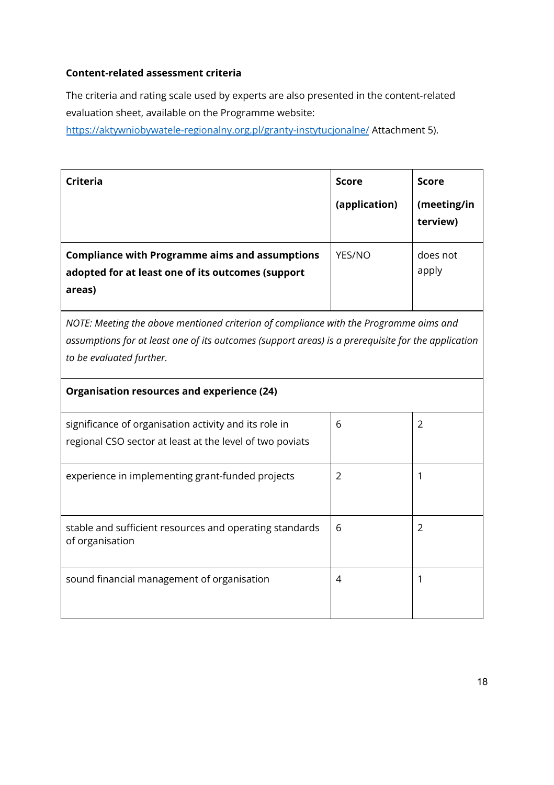## **Content-related assessment criteria**

The criteria and rating scale used by experts are also presented in the content-related evaluation sheet, available on the Programme website:

<https://aktywniobywatele-regionalny.org.pl/granty-instytucjonalne/> Attachment 5).

| Criteria                                                                                                             | <b>Score</b><br>(application) | <b>Score</b><br>(meeting/in<br>terview) |
|----------------------------------------------------------------------------------------------------------------------|-------------------------------|-----------------------------------------|
| <b>Compliance with Programme aims and assumptions</b><br>adopted for at least one of its outcomes (support<br>areas) | YES/NO                        | does not<br>apply                       |

*NOTE: Meeting the above mentioned criterion of compliance with the Programme aims and assumptions for at least one of its outcomes (support areas) is a prerequisite for the application to be evaluated further.*

| Organisation resources and experience (24)                                                                        |   |                |  |  |
|-------------------------------------------------------------------------------------------------------------------|---|----------------|--|--|
| significance of organisation activity and its role in<br>regional CSO sector at least at the level of two poviats | 6 | $\overline{2}$ |  |  |
| experience in implementing grant-funded projects                                                                  | 2 |                |  |  |
| stable and sufficient resources and operating standards<br>of organisation                                        | 6 | 2              |  |  |
| sound financial management of organisation                                                                        | 4 |                |  |  |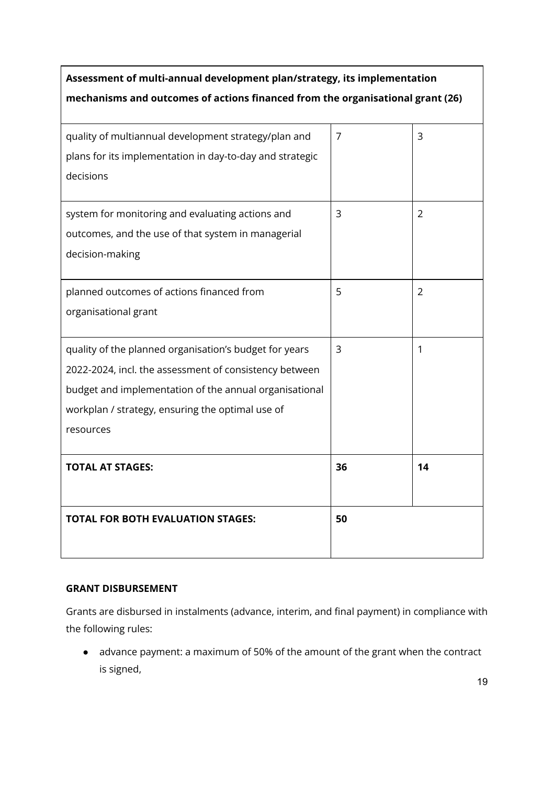| Assessment of multi-annual development plan/strategy, its implementation<br>mechanisms and outcomes of actions financed from the organisational grant (26) |    |    |  |
|------------------------------------------------------------------------------------------------------------------------------------------------------------|----|----|--|
| quality of multiannual development strategy/plan and<br>plans for its implementation in day-to-day and strategic                                           | 7  | 3  |  |
| decisions                                                                                                                                                  |    |    |  |
| system for monitoring and evaluating actions and                                                                                                           | 3  | 2  |  |
| outcomes, and the use of that system in managerial<br>decision-making                                                                                      |    |    |  |
| planned outcomes of actions financed from<br>organisational grant                                                                                          | 5  | 2  |  |
|                                                                                                                                                            |    |    |  |
| quality of the planned organisation's budget for years                                                                                                     | 3  | 1  |  |
| 2022-2024, incl. the assessment of consistency between                                                                                                     |    |    |  |
| budget and implementation of the annual organisational                                                                                                     |    |    |  |
| workplan / strategy, ensuring the optimal use of                                                                                                           |    |    |  |
| resources                                                                                                                                                  |    |    |  |
| <b>TOTAL AT STAGES:</b>                                                                                                                                    | 36 | 14 |  |
|                                                                                                                                                            |    |    |  |
| <b>TOTAL FOR BOTH EVALUATION STAGES:</b>                                                                                                                   | 50 |    |  |

# **GRANT DISBURSEMENT**

Grants are disbursed in instalments (advance, interim, and final payment) in compliance with the following rules:

● advance payment: a maximum of 50% of the amount of the grant when the contract is signed,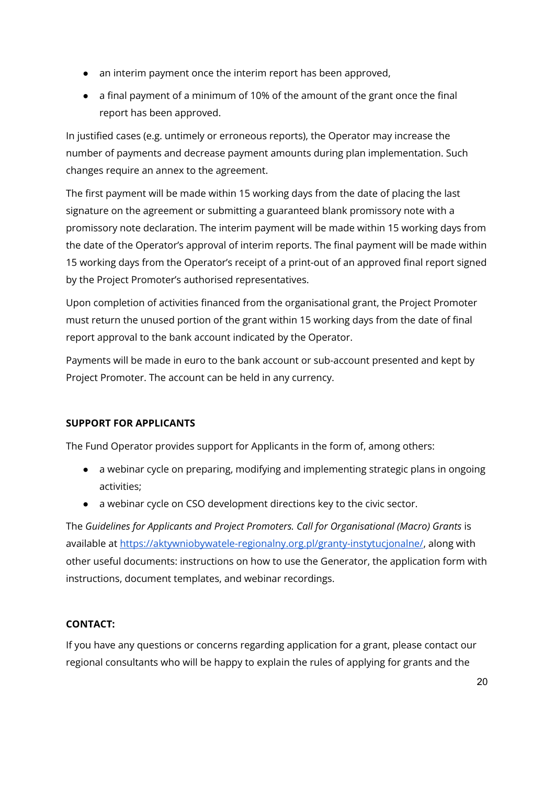- an interim payment once the interim report has been approved,
- a final payment of a minimum of 10% of the amount of the grant once the final report has been approved.

In justified cases (e.g. untimely or erroneous reports), the Operator may increase the number of payments and decrease payment amounts during plan implementation. Such changes require an annex to the agreement.

The first payment will be made within 15 working days from the date of placing the last signature on the agreement or submitting a guaranteed blank promissory note with a promissory note declaration. The interim payment will be made within 15 working days from the date of the Operator's approval of interim reports. The final payment will be made within 15 working days from the Operator's receipt of a print-out of an approved final report signed by the Project Promoter's authorised representatives.

Upon completion of activities financed from the organisational grant, the Project Promoter must return the unused portion of the grant within 15 working days from the date of final report approval to the bank account indicated by the Operator.

Payments will be made in euro to the bank account or sub-account presented and kept by Project Promoter. The account can be held in any currency.

## **SUPPORT FOR APPLICANTS**

The Fund Operator provides support for Applicants in the form of, among others:

- a webinar cycle on preparing, modifying and implementing strategic plans in ongoing activities;
- a webinar cycle on CSO development directions key to the civic sector.

The *Guidelines for Applicants and Project Promoters. Call for Organisational (Macro) Grants* is available at [https://aktywniobywatele-regionalny.org.pl/granty-instytucjonalne/,](https://aktywniobywatele-regionalny.org.pl/granty-instytucjonalne/) along with other useful documents: instructions on how to use the Generator, the application form with instructions, document templates, and webinar recordings.

## **CONTACT:**

If you have any questions or concerns regarding application for a grant, please contact our regional consultants who will be happy to explain the rules of applying for grants and the